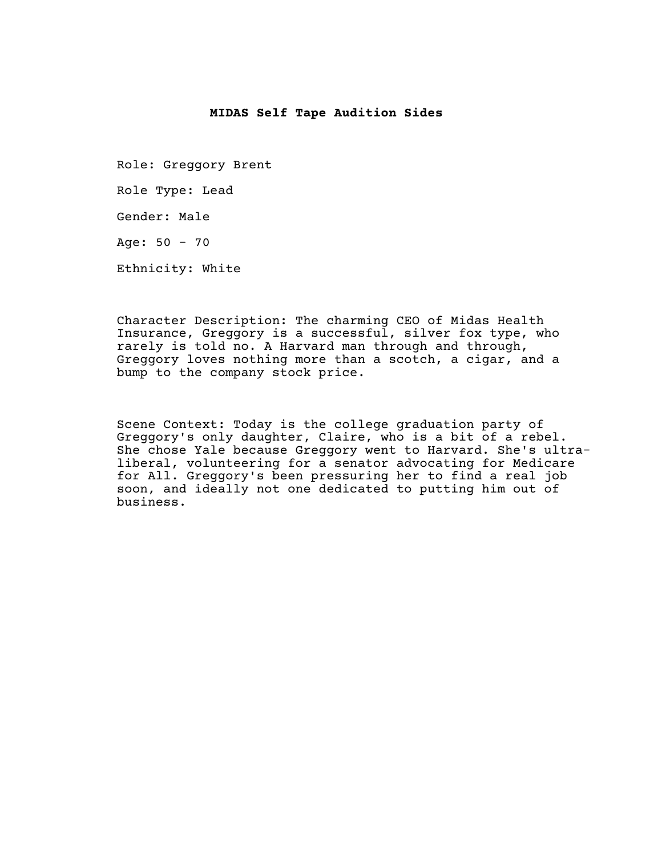## **MIDAS Self Tape Audition Sides**

Role: Greggory Brent Role Type: Lead Gender: Male Age:  $50 - 70$ Ethnicity: White

Character Description: The charming CEO of Midas Health Insurance, Greggory is a successful, silver fox type, who rarely is told no. A Harvard man through and through, Greggory loves nothing more than a scotch, a cigar, and a bump to the company stock price.

Scene Context: Today is the college graduation party of Greggory's only daughter, Claire, who is a bit of a rebel. She chose Yale because Greggory went to Harvard. She's ultraliberal, volunteering for a senator advocating for Medicare for All. Greggory's been pressuring her to find a real job soon, and ideally not one dedicated to putting him out of business.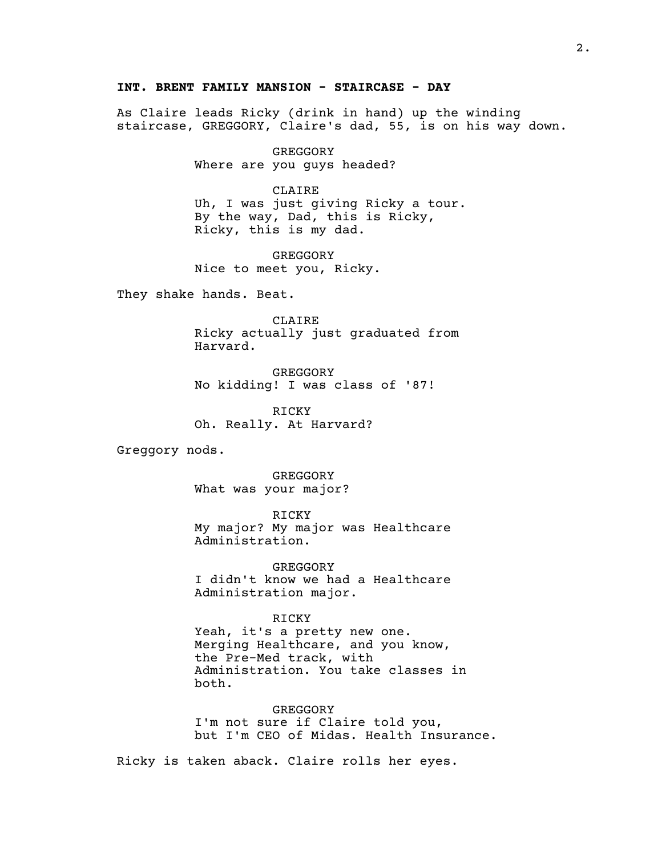## **INT. BRENT FAMILY MANSION - STAIRCASE - DAY**

As Claire leads Ricky (drink in hand) up the winding staircase, GREGGORY, Claire's dad, 55, is on his way down.

> GREGGORY Where are you guys headed?

> > CLAIRE

Uh, I was just giving Ricky a tour. By the way, Dad, this is Ricky, Ricky, this is my dad.

GREGGORY Nice to meet you, Ricky.

They shake hands. Beat.

CLAIRE Ricky actually just graduated from Harvard.

GREGGORY No kidding! I was class of '87!

RICKY Oh. Really. At Harvard?

Greggory nods.

GREGGORY What was your major?

RICKY My major? My major was Healthcare Administration.

GREGGORY I didn't know we had a Healthcare Administration major.

RICKY

Yeah, it's a pretty new one. Merging Healthcare, and you know, the Pre-Med track, with Administration. You take classes in both.

GREGGORY I'm not sure if Claire told you, but I'm CEO of Midas. Health Insurance.

Ricky is taken aback. Claire rolls her eyes.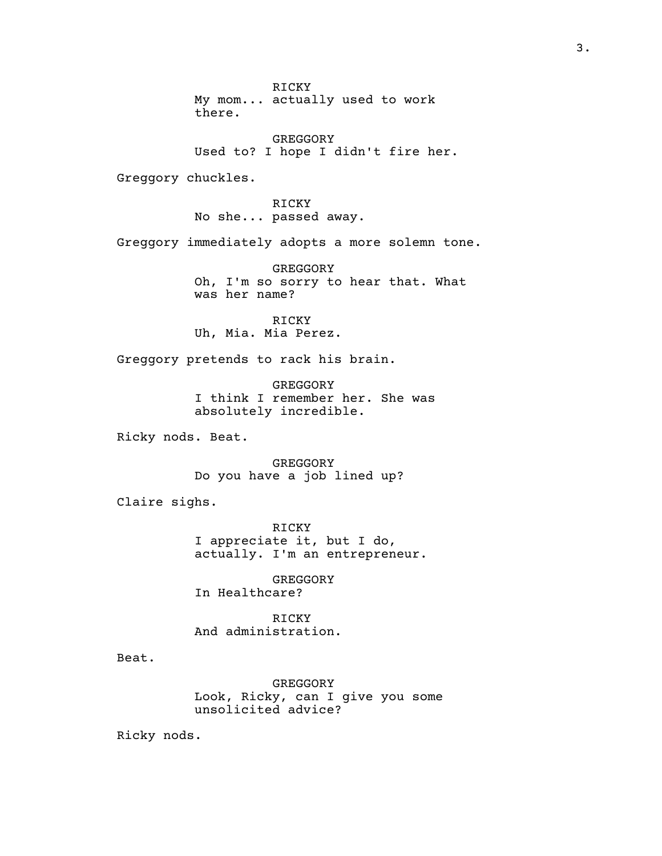RICKY My mom... actually used to work there.

GREGGORY Used to? I hope I didn't fire her.

Greggory chuckles.

RICKY No she... passed away.

Greggory immediately adopts a more solemn tone.

GREGGORY Oh, I'm so sorry to hear that. What was her name?

RICKY Uh, Mia. Mia Perez.

Greggory pretends to rack his brain.

GREGGORY I think I remember her. She was absolutely incredible.

Ricky nods. Beat.

GREGGORY Do you have a job lined up?

Claire sighs.

RICKY I appreciate it, but I do, actually. I'm an entrepreneur.

GREGGORY In Healthcare?

RICKY And administration.

Beat.

GREGGORY Look, Ricky, can I give you some unsolicited advice?

Ricky nods.